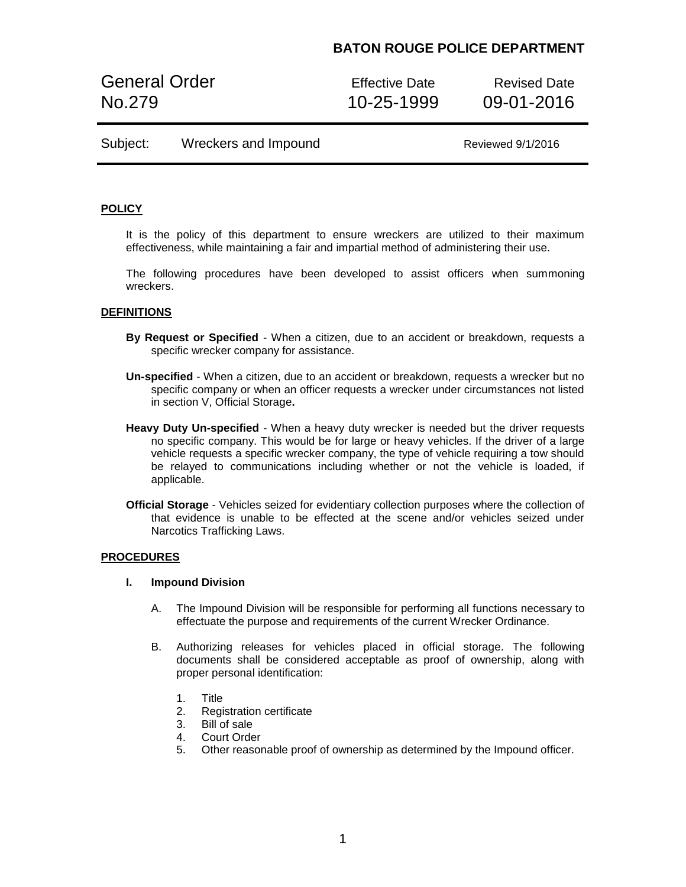General Order **Effective Date** Revised Date No.279 10-25-1999 09-01-2016

| Subject: | Wreckers and Impound |  |
|----------|----------------------|--|
|----------|----------------------|--|

Reviewed 9/1/2016

#### **POLICY**

It is the policy of this department to ensure wreckers are utilized to their maximum effectiveness, while maintaining a fair and impartial method of administering their use.

The following procedures have been developed to assist officers when summoning wreckers.

#### **DEFINITIONS**

- **By Request or Specified** When a citizen, due to an accident or breakdown, requests a specific wrecker company for assistance.
- **Un-specified** When a citizen, due to an accident or breakdown, requests a wrecker but no specific company or when an officer requests a wrecker under circumstances not listed in section V, Official Storage**.**
- **Heavy Duty Un-specified** When a heavy duty wrecker is needed but the driver requests no specific company. This would be for large or heavy vehicles. If the driver of a large vehicle requests a specific wrecker company, the type of vehicle requiring a tow should be relayed to communications including whether or not the vehicle is loaded, if applicable.
- **Official Storage** Vehicles seized for evidentiary collection purposes where the collection of that evidence is unable to be effected at the scene and/or vehicles seized under Narcotics Trafficking Laws.

#### **PROCEDURES**

#### **I. Impound Division**

- A. The Impound Division will be responsible for performing all functions necessary to effectuate the purpose and requirements of the current Wrecker Ordinance.
- B. Authorizing releases for vehicles placed in official storage. The following documents shall be considered acceptable as proof of ownership, along with proper personal identification:
	- 1. Title
	- 2. Registration certificate
	- 3. Bill of sale
	- 4. Court Order
	- 5. Other reasonable proof of ownership as determined by the Impound officer.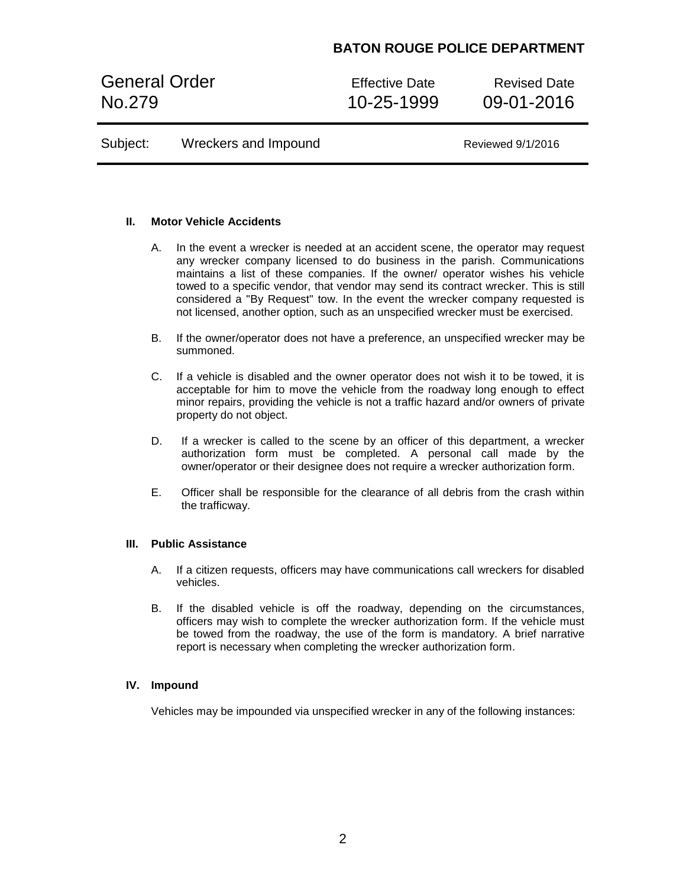General Order **Effective Date** Revised Date No.279 10-25-1999 09-01-2016

Subject: Wreckers and Impound Reviewed 9/1/2016

### **II. Motor Vehicle Accidents**

- A. In the event a wrecker is needed at an accident scene, the operator may request any wrecker company licensed to do business in the parish. Communications maintains a list of these companies. If the owner/ operator wishes his vehicle towed to a specific vendor, that vendor may send its contract wrecker. This is still considered a "By Request" tow. In the event the wrecker company requested is not licensed, another option, such as an unspecified wrecker must be exercised.
- B. If the owner/operator does not have a preference, an unspecified wrecker may be summoned.
- C. If a vehicle is disabled and the owner operator does not wish it to be towed, it is acceptable for him to move the vehicle from the roadway long enough to effect minor repairs, providing the vehicle is not a traffic hazard and/or owners of private property do not object.
- D. If a wrecker is called to the scene by an officer of this department, a wrecker authorization form must be completed. A personal call made by the owner/operator or their designee does not require a wrecker authorization form.
- E. Officer shall be responsible for the clearance of all debris from the crash within the trafficway.

#### **III. Public Assistance**

- A. If a citizen requests, officers may have communications call wreckers for disabled vehicles.
- B. If the disabled vehicle is off the roadway, depending on the circumstances, officers may wish to complete the wrecker authorization form. If the vehicle must be towed from the roadway, the use of the form is mandatory. A brief narrative report is necessary when completing the wrecker authorization form.

#### **IV. Impound**

Vehicles may be impounded via unspecified wrecker in any of the following instances: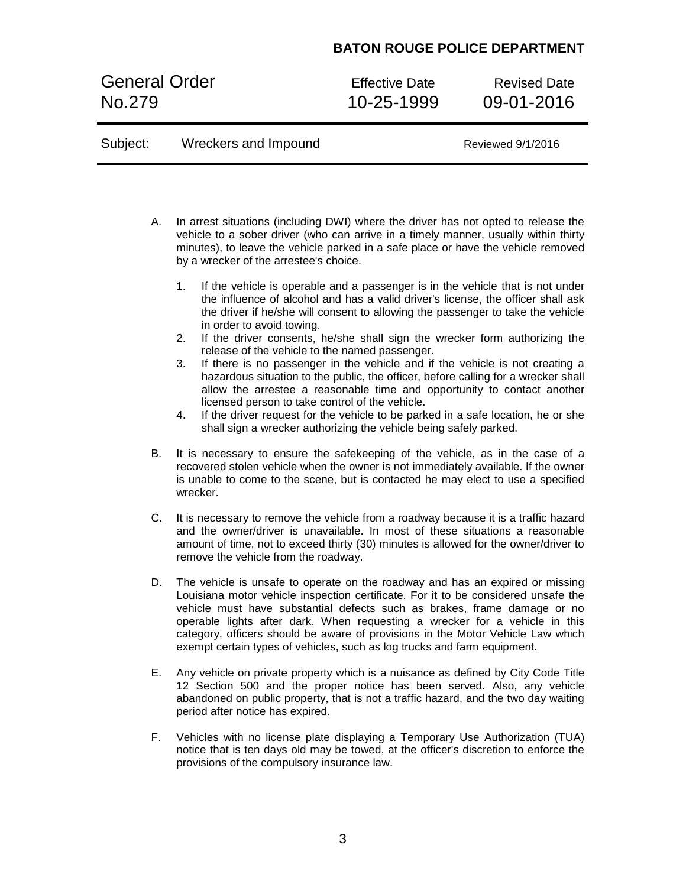General Order Effective Date Revised Date<br>No.279 10-25-1999 09-01-2016

Subject: Wreckers and Impound Reviewed 9/1/2016

10-25-1999 09-01-2016

| А. | In arrest situations (including DWI) where the driver has not opted to release the<br>vehicle to a sober driver (who can arrive in a timely manner, usually within thirty<br>minutes), to leave the vehicle parked in a safe place or have the vehicle removed<br>by a wrecker of the arrestee's choice.                                                                                                                                                                                      |
|----|-----------------------------------------------------------------------------------------------------------------------------------------------------------------------------------------------------------------------------------------------------------------------------------------------------------------------------------------------------------------------------------------------------------------------------------------------------------------------------------------------|
|    | 1.<br>If the vehicle is operable and a passenger is in the vehicle that is not under<br>the influence of alcohol and has a valid driver's license, the officer shall ask<br>the driver if he/she will consent to allowing the passenger to take the vehicle<br>in order to avoid towing.<br>If the driver consents, he/she shall sign the wrecker form authorizing the<br>2.                                                                                                                  |
|    | release of the vehicle to the named passenger.<br>If there is no passenger in the vehicle and if the vehicle is not creating a<br>3.<br>hazardous situation to the public, the officer, before calling for a wrecker shall<br>allow the arrestee a reasonable time and opportunity to contact another<br>licensed person to take control of the vehicle.                                                                                                                                      |
|    | If the driver request for the vehicle to be parked in a safe location, he or she<br>4.<br>shall sign a wrecker authorizing the vehicle being safely parked.                                                                                                                                                                                                                                                                                                                                   |
| В. | It is necessary to ensure the safekeeping of the vehicle, as in the case of a<br>recovered stolen vehicle when the owner is not immediately available. If the owner<br>is unable to come to the scene, but is contacted he may elect to use a specified<br>wrecker.                                                                                                                                                                                                                           |
| C. | It is necessary to remove the vehicle from a roadway because it is a traffic hazard<br>and the owner/driver is unavailable. In most of these situations a reasonable<br>amount of time, not to exceed thirty (30) minutes is allowed for the owner/driver to<br>remove the vehicle from the roadway.                                                                                                                                                                                          |
| D. | The vehicle is unsafe to operate on the roadway and has an expired or missing<br>Louisiana motor vehicle inspection certificate. For it to be considered unsafe the<br>vehicle must have substantial defects such as brakes, frame damage or no<br>operable lights after dark. When requesting a wrecker for a vehicle in this<br>category, officers should be aware of provisions in the Motor Vehicle Law which<br>exempt certain types of vehicles, such as log trucks and farm equipment. |
| Е. | Any vehicle on private property which is a nuisance as defined by City Code Title<br>12 Section 500 and the proper notice has been served. Also, any vehicle<br>abandoned on public property, that is not a traffic hazard, and the two day waiting<br>period after notice has expired.                                                                                                                                                                                                       |
| F. | Vehicles with no license plate displaying a Temporary Use Authorization (TUA)<br>notice that is ten days old may be towed, at the officer's discretion to enforce the<br>provisions of the compulsory insurance law.                                                                                                                                                                                                                                                                          |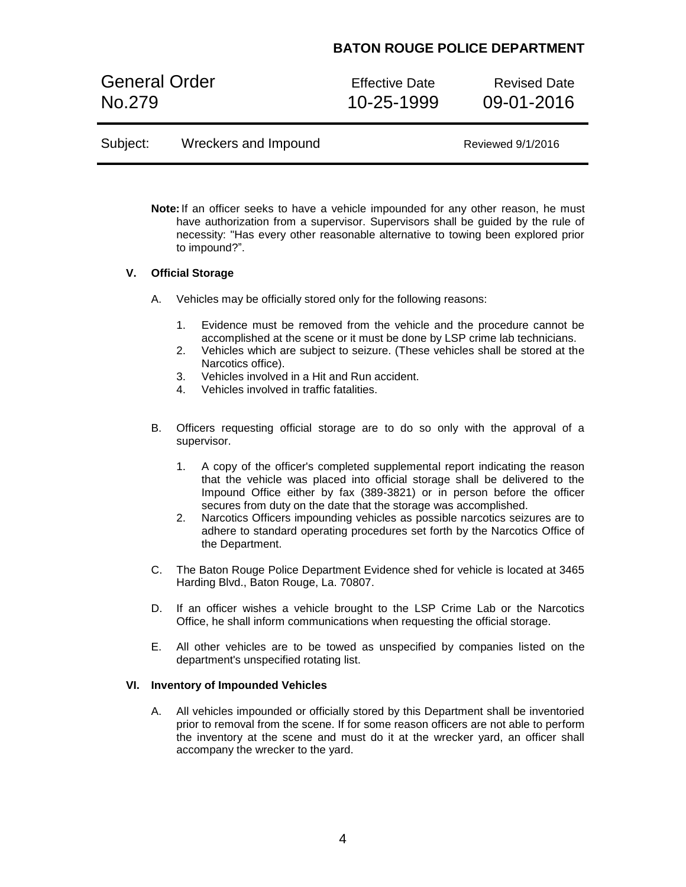General Order **Effective Date** Revised Date No.279 10-25-1999 09-01-2016

| Subject: | Wreckers and Impound |  |
|----------|----------------------|--|
|----------|----------------------|--|

Reviewed 9/1/2016

**Note:**If an officer seeks to have a vehicle impounded for any other reason, he must have authorization from a supervisor. Supervisors shall be guided by the rule of necessity: "Has every other reasonable alternative to towing been explored prior to impound?".

### **V. Official Storage**

- A. Vehicles may be officially stored only for the following reasons:
	- 1. Evidence must be removed from the vehicle and the procedure cannot be accomplished at the scene or it must be done by LSP crime lab technicians.
	- 2. Vehicles which are subject to seizure. (These vehicles shall be stored at the Narcotics office).
	- 3. Vehicles involved in a Hit and Run accident.<br>4. Vehicles involved in traffic fatalities.
	- Vehicles involved in traffic fatalities.
- B. Officers requesting official storage are to do so only with the approval of a supervisor.
	- 1. A copy of the officer's completed supplemental report indicating the reason that the vehicle was placed into official storage shall be delivered to the Impound Office either by fax (389-3821) or in person before the officer secures from duty on the date that the storage was accomplished.
	- 2. Narcotics Officers impounding vehicles as possible narcotics seizures are to adhere to standard operating procedures set forth by the Narcotics Office of the Department.
- C. The Baton Rouge Police Department Evidence shed for vehicle is located at 3465 Harding Blvd., Baton Rouge, La. 70807.
- D. If an officer wishes a vehicle brought to the LSP Crime Lab or the Narcotics Office, he shall inform communications when requesting the official storage.
- E. All other vehicles are to be towed as unspecified by companies listed on the department's unspecified rotating list.

#### **VI. Inventory of Impounded Vehicles**

A. All vehicles impounded or officially stored by this Department shall be inventoried prior to removal from the scene. If for some reason officers are not able to perform the inventory at the scene and must do it at the wrecker yard, an officer shall accompany the wrecker to the yard.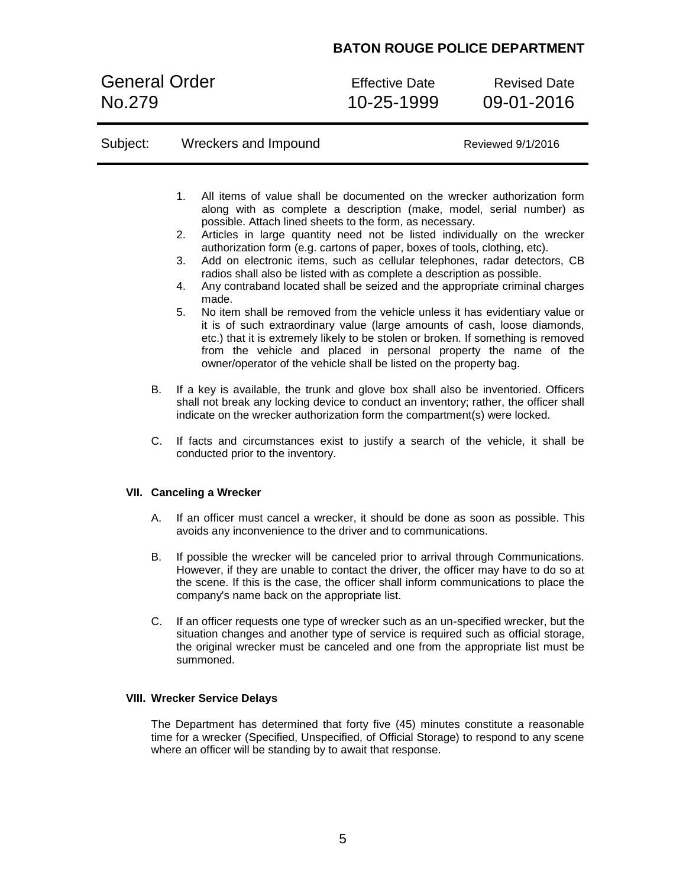General Order **Effective Date** Revised Date No.279 10-25-1999 09-01-2016

| Subject: |                                                                                                                                  | Wreckers and Impound                                                                                                                                                                                                                                                                                                                                                                                                                                                                                                                                                                                                                                                                                                                                                                                                                                                                                                                                                                                                                              | Reviewed 9/1/2016 |
|----------|----------------------------------------------------------------------------------------------------------------------------------|---------------------------------------------------------------------------------------------------------------------------------------------------------------------------------------------------------------------------------------------------------------------------------------------------------------------------------------------------------------------------------------------------------------------------------------------------------------------------------------------------------------------------------------------------------------------------------------------------------------------------------------------------------------------------------------------------------------------------------------------------------------------------------------------------------------------------------------------------------------------------------------------------------------------------------------------------------------------------------------------------------------------------------------------------|-------------------|
|          |                                                                                                                                  | All items of value shall be documented on the wrecker authorization form<br>1.<br>along with as complete a description (make, model, serial number) as<br>possible. Attach lined sheets to the form, as necessary.<br>Articles in large quantity need not be listed individually on the wrecker<br>2.<br>authorization form (e.g. cartons of paper, boxes of tools, clothing, etc).<br>3.<br>Add on electronic items, such as cellular telephones, radar detectors, CB<br>radios shall also be listed with as complete a description as possible.<br>Any contraband located shall be seized and the appropriate criminal charges<br>4.<br>made.<br>5.<br>No item shall be removed from the vehicle unless it has evidentiary value or<br>it is of such extraordinary value (large amounts of cash, loose diamonds,<br>etc.) that it is extremely likely to be stolen or broken. If something is removed<br>from the vehicle and placed in personal property the name of the<br>owner/operator of the vehicle shall be listed on the property bag. |                   |
|          | В.                                                                                                                               | If a key is available, the trunk and glove box shall also be inventoried. Officers<br>shall not break any locking device to conduct an inventory; rather, the officer shall<br>indicate on the wrecker authorization form the compartment(s) were locked.                                                                                                                                                                                                                                                                                                                                                                                                                                                                                                                                                                                                                                                                                                                                                                                         |                   |
|          | $C_{1}$<br>If facts and circumstances exist to justify a search of the vehicle, it shall be<br>conducted prior to the inventory. |                                                                                                                                                                                                                                                                                                                                                                                                                                                                                                                                                                                                                                                                                                                                                                                                                                                                                                                                                                                                                                                   |                   |
|          | VII. Canceling a Wrecker                                                                                                         |                                                                                                                                                                                                                                                                                                                                                                                                                                                                                                                                                                                                                                                                                                                                                                                                                                                                                                                                                                                                                                                   |                   |
|          | А.                                                                                                                               | If an officer must cancel a wrecker, it should be done as soon as possible. This<br>avoids any inconvenience to the driver and to communications.                                                                                                                                                                                                                                                                                                                                                                                                                                                                                                                                                                                                                                                                                                                                                                                                                                                                                                 |                   |
|          | В.                                                                                                                               | If possible the wrecker will be canceled prior to arrival through Communications.                                                                                                                                                                                                                                                                                                                                                                                                                                                                                                                                                                                                                                                                                                                                                                                                                                                                                                                                                                 |                   |

- However, if they are unable to contact the driver, the officer may have to do so at the scene. If this is the case, the officer shall inform communications to place the company's name back on the appropriate list.
- C. If an officer requests one type of wrecker such as an un-specified wrecker, but the situation changes and another type of service is required such as official storage, the original wrecker must be canceled and one from the appropriate list must be summoned.

### **VIII. Wrecker Service Delays**

The Department has determined that forty five (45) minutes constitute a reasonable time for a wrecker (Specified, Unspecified, of Official Storage) to respond to any scene where an officer will be standing by to await that response.